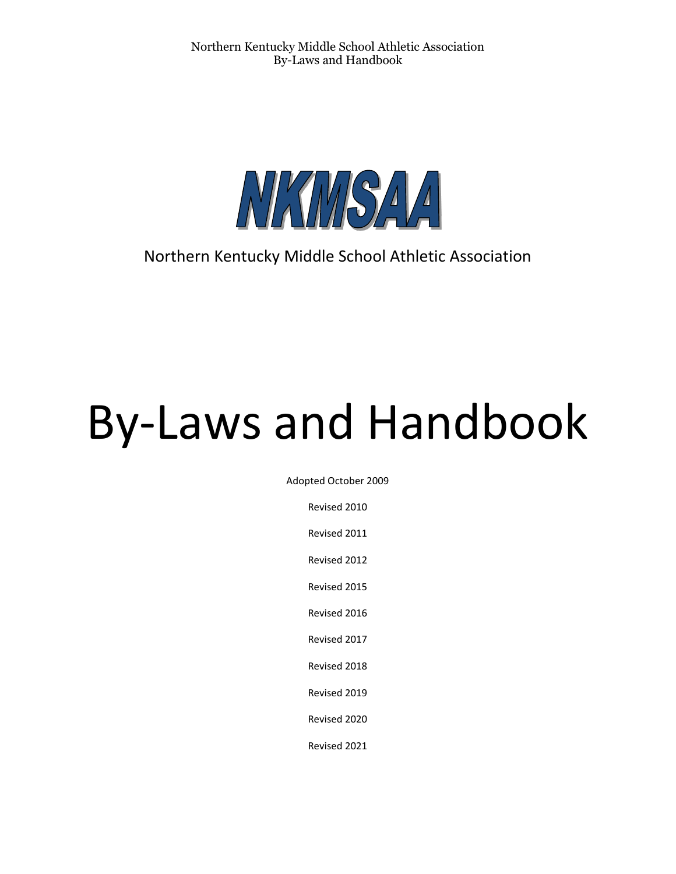

# Northern Kentucky Middle School Athletic Association

# By-Laws and Handbook

Adopted October 2009

Revised 2010

Revised 2011

Revised 2012

Revised 2015

Revised 2016

Revised 2017

Revised 2018

Revised 2019

Revised 2020

Revised 2021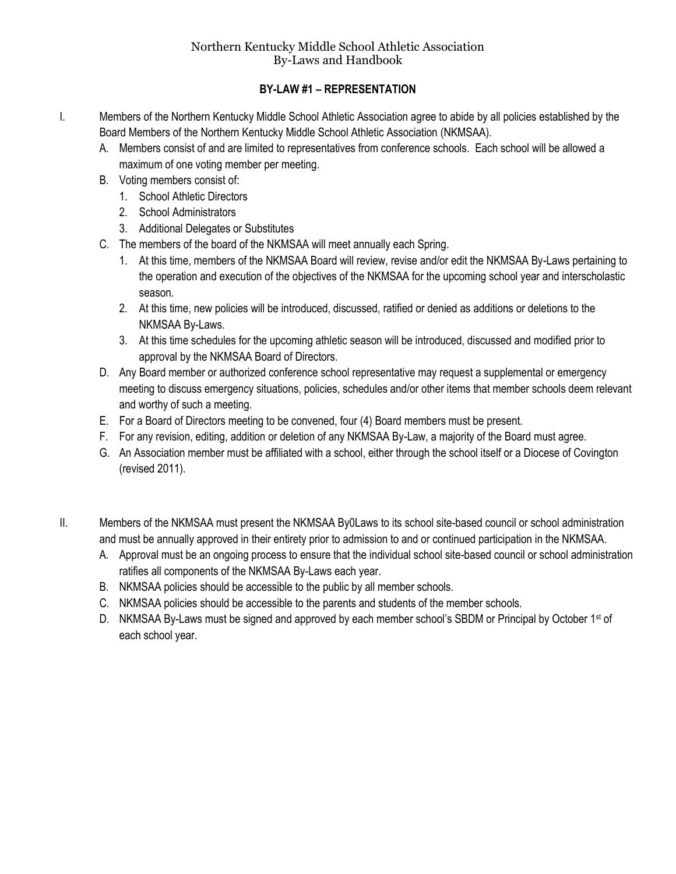# **BY-LAW #1 – REPRESENTATION**

- I. Members of the Northern Kentucky Middle School Athletic Association agree to abide by all policies established by the Board Members of the Northern Kentucky Middle School Athletic Association (NKMSAA).
	- A. Members consist of and are limited to representatives from conference schools. Each school will be allowed a maximum of one voting member per meeting.
	- B. Voting members consist of:
		- 1. School Athletic Directors
		- 2. School Administrators
		- 3. Additional Delegates or Substitutes
	- C. The members of the board of the NKMSAA will meet annually each Spring.
		- 1. At this time, members of the NKMSAA Board will review, revise and/or edit the NKMSAA By-Laws pertaining to the operation and execution of the objectives of the NKMSAA for the upcoming school year and interscholastic season.
		- 2. At this time, new policies will be introduced, discussed, ratified or denied as additions or deletions to the NKMSAA By-Laws.
		- 3. At this time schedules for the upcoming athletic season will be introduced, discussed and modified prior to approval by the NKMSAA Board of Directors.
	- D. Any Board member or authorized conference school representative may request a supplemental or emergency meeting to discuss emergency situations, policies, schedules and/or other items that member schools deem relevant and worthy of such a meeting.
	- E. For a Board of Directors meeting to be convened, four (4) Board members must be present.
	- F. For any revision, editing, addition or deletion of any NKMSAA By-Law, a majority of the Board must agree.
	- G. An Association member must be affiliated with a school, either through the school itself or a Diocese of Covington (revised 2011).
- II. Members of the NKMSAA must present the NKMSAA By0Laws to its school site-based council or school administration and must be annually approved in their entirety prior to admission to and or continued participation in the NKMSAA.
	- A. Approval must be an ongoing process to ensure that the individual school site-based council or school administration ratifies all components of the NKMSAA By-Laws each year.
	- B. NKMSAA policies should be accessible to the public by all member schools.
	- C. NKMSAA policies should be accessible to the parents and students of the member schools.
	- D. NKMSAA By-Laws must be signed and approved by each member school's SBDM or Principal by October 1<sup>st</sup> of each school year.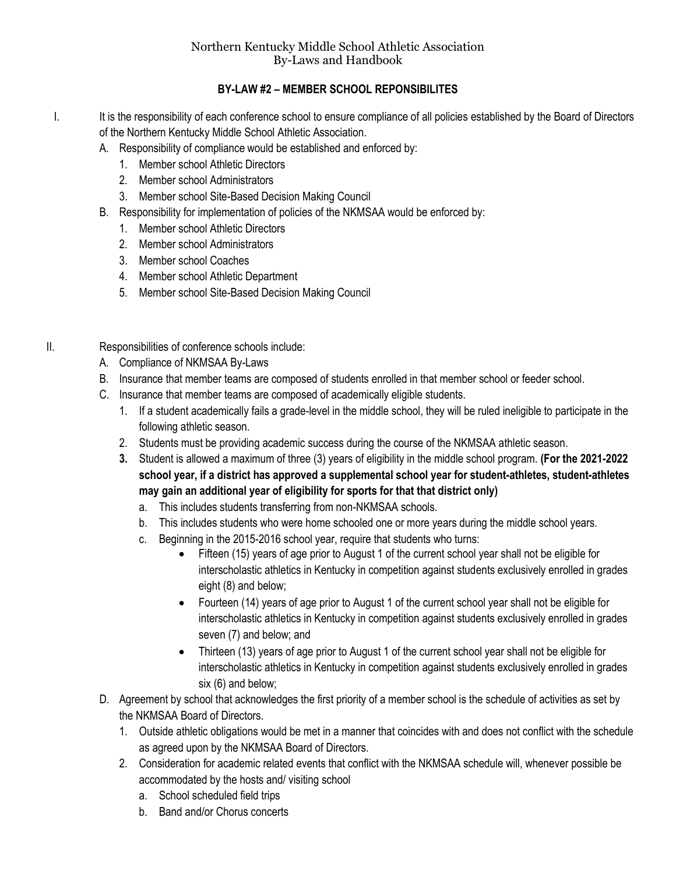# **BY-LAW #2 – MEMBER SCHOOL REPONSIBILITES**

- I. It is the responsibility of each conference school to ensure compliance of all policies established by the Board of Directors of the Northern Kentucky Middle School Athletic Association.
	- A. Responsibility of compliance would be established and enforced by:
		- 1. Member school Athletic Directors
		- 2. Member school Administrators
		- 3. Member school Site-Based Decision Making Council
	- B. Responsibility for implementation of policies of the NKMSAA would be enforced by:
		- 1. Member school Athletic Directors
		- 2. Member school Administrators
		- 3. Member school Coaches
		- 4. Member school Athletic Department
		- 5. Member school Site-Based Decision Making Council
- II. Responsibilities of conference schools include:
	- A. Compliance of NKMSAA By-Laws
	- B. Insurance that member teams are composed of students enrolled in that member school or feeder school.
	- C. Insurance that member teams are composed of academically eligible students.
		- 1. If a student academically fails a grade-level in the middle school, they will be ruled ineligible to participate in the following athletic season.
		- 2. Students must be providing academic success during the course of the NKMSAA athletic season.
		- **3.** Student is allowed a maximum of three (3) years of eligibility in the middle school program. **(For the 2021-2022 school year, if a district has approved a supplemental school year for student-athletes, student-athletes may gain an additional year of eligibility for sports for that that district only)**
			- a. This includes students transferring from non-NKMSAA schools.
			- b. This includes students who were home schooled one or more years during the middle school years.
			- c. Beginning in the 2015-2016 school year, require that students who turns:
				- Fifteen (15) years of age prior to August 1 of the current school year shall not be eligible for interscholastic athletics in Kentucky in competition against students exclusively enrolled in grades eight (8) and below;
				- Fourteen (14) years of age prior to August 1 of the current school year shall not be eligible for interscholastic athletics in Kentucky in competition against students exclusively enrolled in grades seven (7) and below; and
				- Thirteen (13) years of age prior to August 1 of the current school year shall not be eligible for interscholastic athletics in Kentucky in competition against students exclusively enrolled in grades six (6) and below;
	- D. Agreement by school that acknowledges the first priority of a member school is the schedule of activities as set by the NKMSAA Board of Directors.
		- 1. Outside athletic obligations would be met in a manner that coincides with and does not conflict with the schedule as agreed upon by the NKMSAA Board of Directors.
		- 2. Consideration for academic related events that conflict with the NKMSAA schedule will, whenever possible be accommodated by the hosts and/ visiting school
			- a. School scheduled field trips
			- b. Band and/or Chorus concerts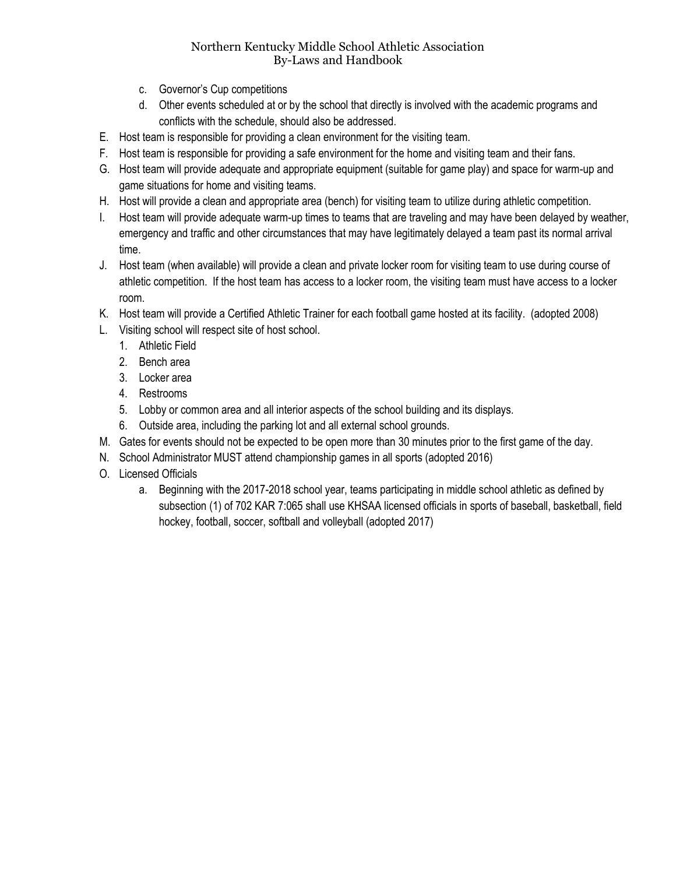- c. Governor's Cup competitions
- d. Other events scheduled at or by the school that directly is involved with the academic programs and conflicts with the schedule, should also be addressed.
- E. Host team is responsible for providing a clean environment for the visiting team.
- F. Host team is responsible for providing a safe environment for the home and visiting team and their fans.
- G. Host team will provide adequate and appropriate equipment (suitable for game play) and space for warm-up and game situations for home and visiting teams.
- H. Host will provide a clean and appropriate area (bench) for visiting team to utilize during athletic competition.
- I. Host team will provide adequate warm-up times to teams that are traveling and may have been delayed by weather, emergency and traffic and other circumstances that may have legitimately delayed a team past its normal arrival time.
- J. Host team (when available) will provide a clean and private locker room for visiting team to use during course of athletic competition. If the host team has access to a locker room, the visiting team must have access to a locker room.
- K. Host team will provide a Certified Athletic Trainer for each football game hosted at its facility. (adopted 2008)
- L. Visiting school will respect site of host school.
	- 1. Athletic Field
	- 2. Bench area
	- 3. Locker area
	- 4. Restrooms
	- 5. Lobby or common area and all interior aspects of the school building and its displays.
	- 6. Outside area, including the parking lot and all external school grounds.
- M. Gates for events should not be expected to be open more than 30 minutes prior to the first game of the day.
- N. School Administrator MUST attend championship games in all sports (adopted 2016)
- O. Licensed Officials
	- a. Beginning with the 2017-2018 school year, teams participating in middle school athletic as defined by subsection (1) of 702 KAR 7:065 shall use KHSAA licensed officials in sports of baseball, basketball, field hockey, football, soccer, softball and volleyball (adopted 2017)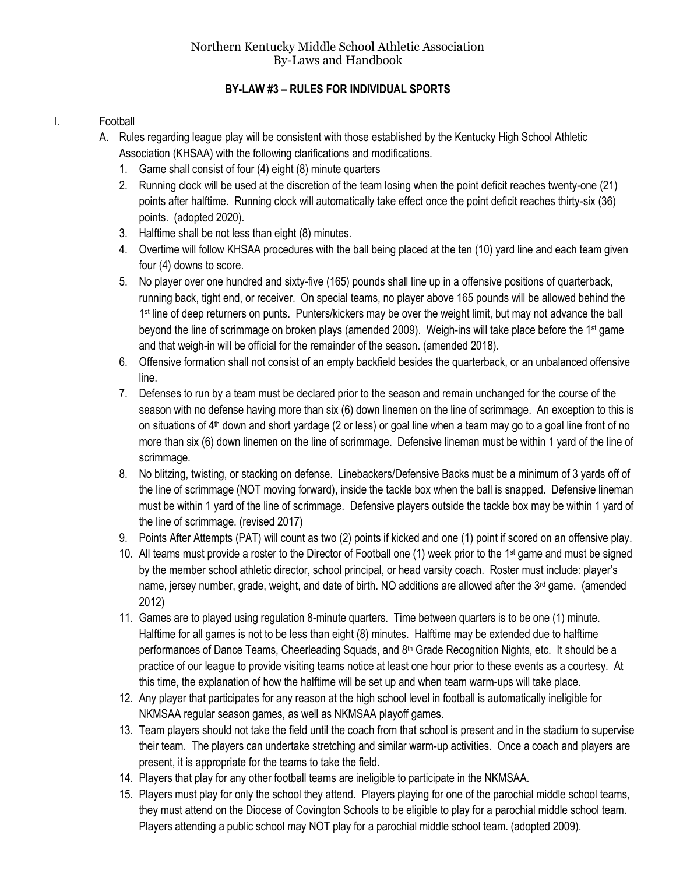# **BY-LAW #3 – RULES FOR INDIVIDUAL SPORTS**

#### I. Football

- A. Rules regarding league play will be consistent with those established by the Kentucky High School Athletic Association (KHSAA) with the following clarifications and modifications.
	- 1. Game shall consist of four (4) eight (8) minute quarters
	- 2. Running clock will be used at the discretion of the team losing when the point deficit reaches twenty-one (21) points after halftime. Running clock will automatically take effect once the point deficit reaches thirty-six (36) points. (adopted 2020).
	- 3. Halftime shall be not less than eight (8) minutes.
	- 4. Overtime will follow KHSAA procedures with the ball being placed at the ten (10) yard line and each team given four (4) downs to score.
	- 5. No player over one hundred and sixty-five (165) pounds shall line up in a offensive positions of quarterback, running back, tight end, or receiver. On special teams, no player above 165 pounds will be allowed behind the 1<sup>st</sup> line of deep returners on punts. Punters/kickers may be over the weight limit, but may not advance the ball beyond the line of scrimmage on broken plays (amended 2009). Weigh-ins will take place before the 1st game and that weigh-in will be official for the remainder of the season. (amended 2018).
	- 6. Offensive formation shall not consist of an empty backfield besides the quarterback, or an unbalanced offensive line.
	- 7. Defenses to run by a team must be declared prior to the season and remain unchanged for the course of the season with no defense having more than six (6) down linemen on the line of scrimmage. An exception to this is on situations of  $4<sup>th</sup>$  down and short yardage (2 or less) or goal line when a team may go to a goal line front of no more than six (6) down linemen on the line of scrimmage. Defensive lineman must be within 1 yard of the line of scrimmage.
	- 8. No blitzing, twisting, or stacking on defense. Linebackers/Defensive Backs must be a minimum of 3 yards off of the line of scrimmage (NOT moving forward), inside the tackle box when the ball is snapped. Defensive lineman must be within 1 yard of the line of scrimmage. Defensive players outside the tackle box may be within 1 yard of the line of scrimmage. (revised 2017)
	- 9. Points After Attempts (PAT) will count as two (2) points if kicked and one (1) point if scored on an offensive play.
	- 10. All teams must provide a roster to the Director of Football one (1) week prior to the 1st game and must be signed by the member school athletic director, school principal, or head varsity coach. Roster must include: player's name, jersey number, grade, weight, and date of birth. NO additions are allowed after the 3<sup>rd</sup> game. (amended 2012)
	- 11. Games are to played using regulation 8-minute quarters. Time between quarters is to be one (1) minute. Halftime for all games is not to be less than eight (8) minutes. Halftime may be extended due to halftime performances of Dance Teams, Cheerleading Squads, and 8<sup>th</sup> Grade Recognition Nights, etc. It should be a practice of our league to provide visiting teams notice at least one hour prior to these events as a courtesy. At this time, the explanation of how the halftime will be set up and when team warm-ups will take place.
	- 12. Any player that participates for any reason at the high school level in football is automatically ineligible for NKMSAA regular season games, as well as NKMSAA playoff games.
	- 13. Team players should not take the field until the coach from that school is present and in the stadium to supervise their team. The players can undertake stretching and similar warm-up activities. Once a coach and players are present, it is appropriate for the teams to take the field.
	- 14. Players that play for any other football teams are ineligible to participate in the NKMSAA.
	- 15. Players must play for only the school they attend. Players playing for one of the parochial middle school teams, they must attend on the Diocese of Covington Schools to be eligible to play for a parochial middle school team. Players attending a public school may NOT play for a parochial middle school team. (adopted 2009).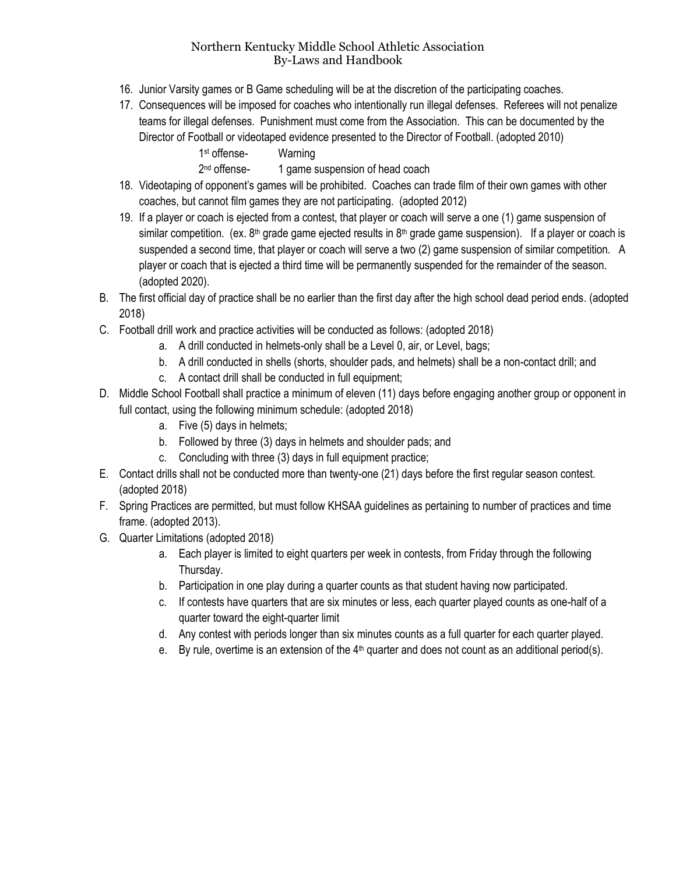- 16. Junior Varsity games or B Game scheduling will be at the discretion of the participating coaches.
- 17. Consequences will be imposed for coaches who intentionally run illegal defenses. Referees will not penalize teams for illegal defenses. Punishment must come from the Association. This can be documented by the Director of Football or videotaped evidence presented to the Director of Football. (adopted 2010)
	- 1 st offense- Warning

2<sup>nd</sup> offense-1 game suspension of head coach

- 18. Videotaping of opponent's games will be prohibited. Coaches can trade film of their own games with other coaches, but cannot film games they are not participating. (adopted 2012)
- 19. If a player or coach is ejected from a contest, that player or coach will serve a one (1) game suspension of similar competition. (ex.  $8<sup>th</sup>$  grade game ejected results in  $8<sup>th</sup>$  grade game suspension). If a player or coach is suspended a second time, that player or coach will serve a two (2) game suspension of similar competition. A player or coach that is ejected a third time will be permanently suspended for the remainder of the season. (adopted 2020).
- B. The first official day of practice shall be no earlier than the first day after the high school dead period ends. (adopted 2018)
- C. Football drill work and practice activities will be conducted as follows: (adopted 2018)
	- a. A drill conducted in helmets-only shall be a Level 0, air, or Level, bags;
	- b. A drill conducted in shells (shorts, shoulder pads, and helmets) shall be a non-contact drill; and
		- c. A contact drill shall be conducted in full equipment;
- D. Middle School Football shall practice a minimum of eleven (11) days before engaging another group or opponent in full contact, using the following minimum schedule: (adopted 2018)
	- a. Five (5) days in helmets;
	- b. Followed by three (3) days in helmets and shoulder pads; and
	- c. Concluding with three (3) days in full equipment practice;
- E. Contact drills shall not be conducted more than twenty-one (21) days before the first regular season contest. (adopted 2018)
- F. Spring Practices are permitted, but must follow KHSAA guidelines as pertaining to number of practices and time frame. (adopted 2013).
- G. Quarter Limitations (adopted 2018)
	- a. Each player is limited to eight quarters per week in contests, from Friday through the following Thursday.
	- b. Participation in one play during a quarter counts as that student having now participated.
	- c. If contests have quarters that are six minutes or less, each quarter played counts as one-half of a quarter toward the eight-quarter limit
	- d. Any contest with periods longer than six minutes counts as a full quarter for each quarter played.
	- e. By rule, overtime is an extension of the 4<sup>th</sup> quarter and does not count as an additional period(s).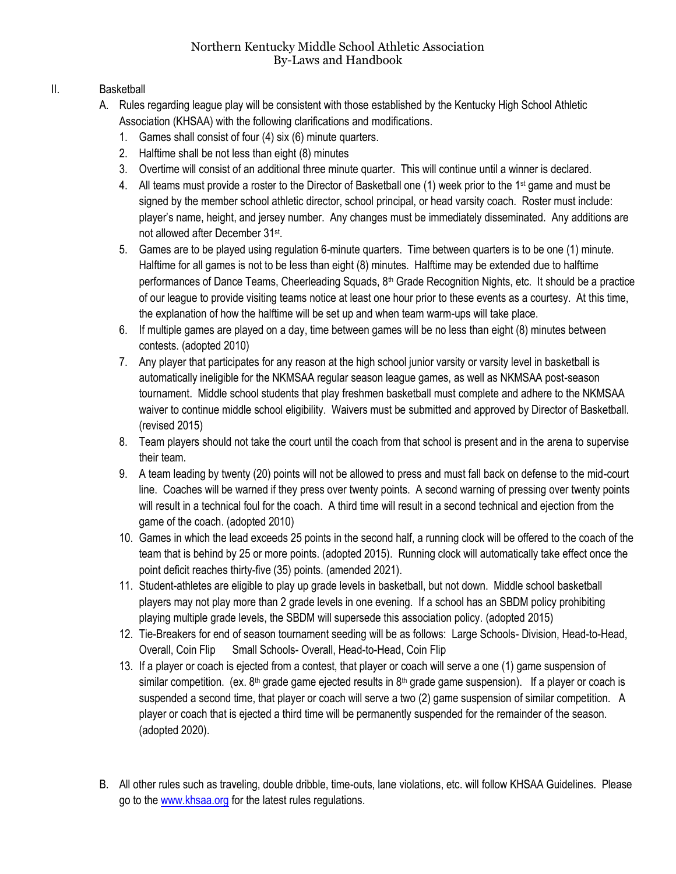# II. Basketball

- A. Rules regarding league play will be consistent with those established by the Kentucky High School Athletic Association (KHSAA) with the following clarifications and modifications.
	- 1. Games shall consist of four (4) six (6) minute quarters.
	- 2. Halftime shall be not less than eight (8) minutes
	- 3. Overtime will consist of an additional three minute quarter. This will continue until a winner is declared.
	- 4. All teams must provide a roster to the Director of Basketball one (1) week prior to the 1<sup>st</sup> game and must be signed by the member school athletic director, school principal, or head varsity coach. Roster must include: player's name, height, and jersey number. Any changes must be immediately disseminated. Any additions are not allowed after December 31st.
	- 5. Games are to be played using regulation 6-minute quarters. Time between quarters is to be one (1) minute. Halftime for all games is not to be less than eight (8) minutes. Halftime may be extended due to halftime performances of Dance Teams, Cheerleading Squads, 8<sup>th</sup> Grade Recognition Nights, etc. It should be a practice of our league to provide visiting teams notice at least one hour prior to these events as a courtesy. At this time, the explanation of how the halftime will be set up and when team warm-ups will take place.
	- 6. If multiple games are played on a day, time between games will be no less than eight (8) minutes between contests. (adopted 2010)
	- 7. Any player that participates for any reason at the high school junior varsity or varsity level in basketball is automatically ineligible for the NKMSAA regular season league games, as well as NKMSAA post-season tournament. Middle school students that play freshmen basketball must complete and adhere to the NKMSAA waiver to continue middle school eligibility. Waivers must be submitted and approved by Director of Basketball. (revised 2015)
	- 8. Team players should not take the court until the coach from that school is present and in the arena to supervise their team.
	- 9. A team leading by twenty (20) points will not be allowed to press and must fall back on defense to the mid-court line. Coaches will be warned if they press over twenty points. A second warning of pressing over twenty points will result in a technical foul for the coach. A third time will result in a second technical and ejection from the game of the coach. (adopted 2010)
	- 10. Games in which the lead exceeds 25 points in the second half, a running clock will be offered to the coach of the team that is behind by 25 or more points. (adopted 2015). Running clock will automatically take effect once the point deficit reaches thirty-five (35) points. (amended 2021).
	- 11. Student-athletes are eligible to play up grade levels in basketball, but not down. Middle school basketball players may not play more than 2 grade levels in one evening. If a school has an SBDM policy prohibiting playing multiple grade levels, the SBDM will supersede this association policy. (adopted 2015)
	- 12. Tie-Breakers for end of season tournament seeding will be as follows: Large Schools- Division, Head-to-Head, Overall, Coin Flip Small Schools- Overall, Head-to-Head, Coin Flip
	- 13. If a player or coach is ejected from a contest, that player or coach will serve a one (1) game suspension of similar competition. (ex.  $8<sup>th</sup>$  grade game ejected results in  $8<sup>th</sup>$  grade game suspension). If a player or coach is suspended a second time, that player or coach will serve a two (2) game suspension of similar competition. A player or coach that is ejected a third time will be permanently suspended for the remainder of the season. (adopted 2020).
- B. All other rules such as traveling, double dribble, time-outs, lane violations, etc. will follow KHSAA Guidelines. Please go to th[e www.khsaa.org](http://www.khsaa.org/) for the latest rules regulations.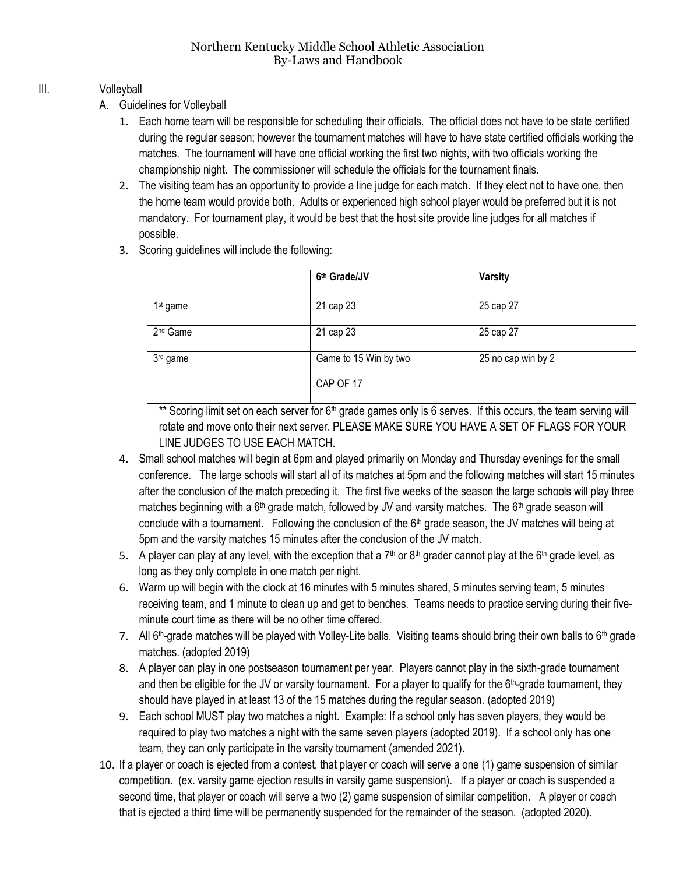#### III. Volleyball

- A. Guidelines for Volleyball
	- 1. Each home team will be responsible for scheduling their officials. The official does not have to be state certified during the regular season; however the tournament matches will have to have state certified officials working the matches. The tournament will have one official working the first two nights, with two officials working the championship night. The commissioner will schedule the officials for the tournament finals.
	- 2. The visiting team has an opportunity to provide a line judge for each match. If they elect not to have one, then the home team would provide both. Adults or experienced high school player would be preferred but it is not mandatory. For tournament play, it would be best that the host site provide line judges for all matches if possible.
	- 3. Scoring guidelines will include the following:

|                      | 6th Grade/JV          | <b>Varsity</b>     |
|----------------------|-----------------------|--------------------|
| 1 <sup>st</sup> game | 21 cap 23             | 25 cap 27          |
| 2 <sup>nd</sup> Game | 21 cap 23             | 25 cap 27          |
| 3rd game             | Game to 15 Win by two | 25 no cap win by 2 |
|                      | CAP OF 17             |                    |

\*\* Scoring limit set on each server for 6<sup>th</sup> grade games only is 6 serves. If this occurs, the team serving will rotate and move onto their next server. PLEASE MAKE SURE YOU HAVE A SET OF FLAGS FOR YOUR LINE JUDGES TO USE EACH MATCH.

- 4. Small school matches will begin at 6pm and played primarily on Monday and Thursday evenings for the small conference. The large schools will start all of its matches at 5pm and the following matches will start 15 minutes after the conclusion of the match preceding it. The first five weeks of the season the large schools will play three matches beginning with a  $6<sup>th</sup>$  grade match, followed by JV and varsity matches. The  $6<sup>th</sup>$  grade season will conclude with a tournament. Following the conclusion of the  $6<sup>th</sup>$  grade season, the JV matches will being at 5pm and the varsity matches 15 minutes after the conclusion of the JV match.
- 5. A player can play at any level, with the exception that a 7<sup>th</sup> or 8<sup>th</sup> grader cannot play at the 6<sup>th</sup> grade level, as long as they only complete in one match per night.
- 6. Warm up will begin with the clock at 16 minutes with 5 minutes shared, 5 minutes serving team, 5 minutes receiving team, and 1 minute to clean up and get to benches. Teams needs to practice serving during their fiveminute court time as there will be no other time offered.
- 7. All 6<sup>th</sup>-grade matches will be played with Volley-Lite balls. Visiting teams should bring their own balls to 6<sup>th</sup> grade matches. (adopted 2019)
- 8. A player can play in one postseason tournament per year. Players cannot play in the sixth-grade tournament and then be eligible for the JV or varsity tournament. For a player to qualify for the  $6<sup>th</sup>$ -grade tournament, they should have played in at least 13 of the 15 matches during the regular season. (adopted 2019)
- 9. Each school MUST play two matches a night. Example: If a school only has seven players, they would be required to play two matches a night with the same seven players (adopted 2019). If a school only has one team, they can only participate in the varsity tournament (amended 2021).
- 10. If a player or coach is ejected from a contest, that player or coach will serve a one (1) game suspension of similar competition. (ex. varsity game ejection results in varsity game suspension). If a player or coach is suspended a second time, that player or coach will serve a two (2) game suspension of similar competition. A player or coach that is ejected a third time will be permanently suspended for the remainder of the season. (adopted 2020).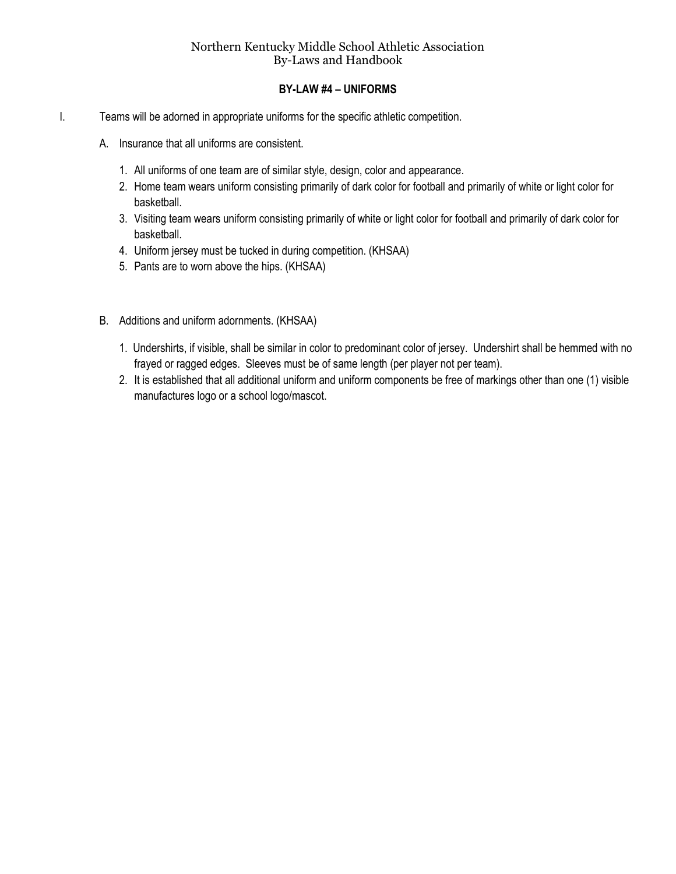#### **BY-LAW #4 – UNIFORMS**

- I. Teams will be adorned in appropriate uniforms for the specific athletic competition.
	- A. Insurance that all uniforms are consistent.
		- 1. All uniforms of one team are of similar style, design, color and appearance.
		- 2. Home team wears uniform consisting primarily of dark color for football and primarily of white or light color for basketball.
		- 3. Visiting team wears uniform consisting primarily of white or light color for football and primarily of dark color for basketball.
		- 4. Uniform jersey must be tucked in during competition. (KHSAA)
		- 5. Pants are to worn above the hips. (KHSAA)
	- B. Additions and uniform adornments. (KHSAA)
		- 1. Undershirts, if visible, shall be similar in color to predominant color of jersey. Undershirt shall be hemmed with no frayed or ragged edges. Sleeves must be of same length (per player not per team).
		- 2. It is established that all additional uniform and uniform components be free of markings other than one (1) visible manufactures logo or a school logo/mascot.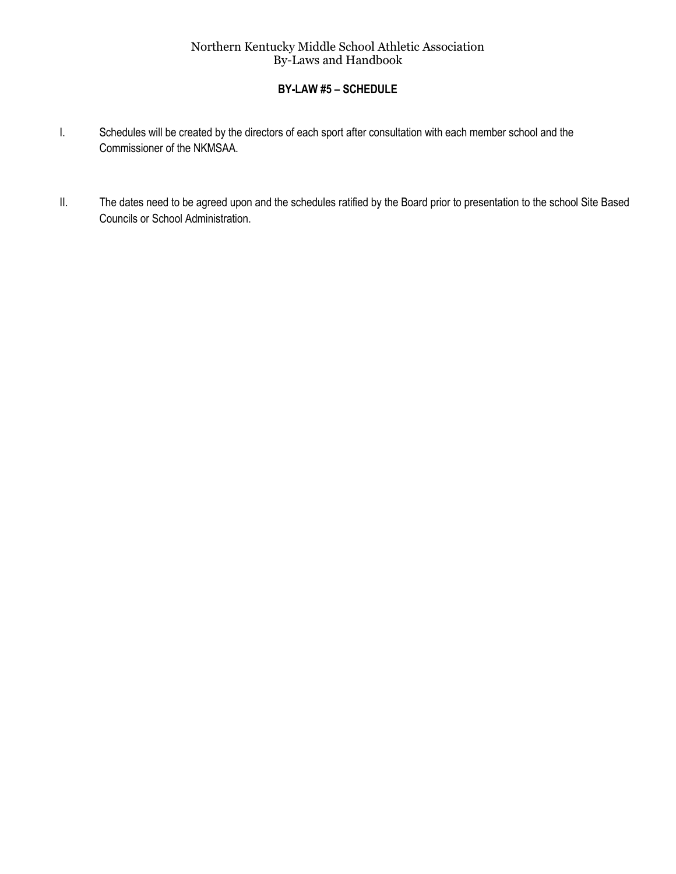# **BY-LAW #5 – SCHEDULE**

- I. Schedules will be created by the directors of each sport after consultation with each member school and the Commissioner of the NKMSAA.
- II. The dates need to be agreed upon and the schedules ratified by the Board prior to presentation to the school Site Based Councils or School Administration.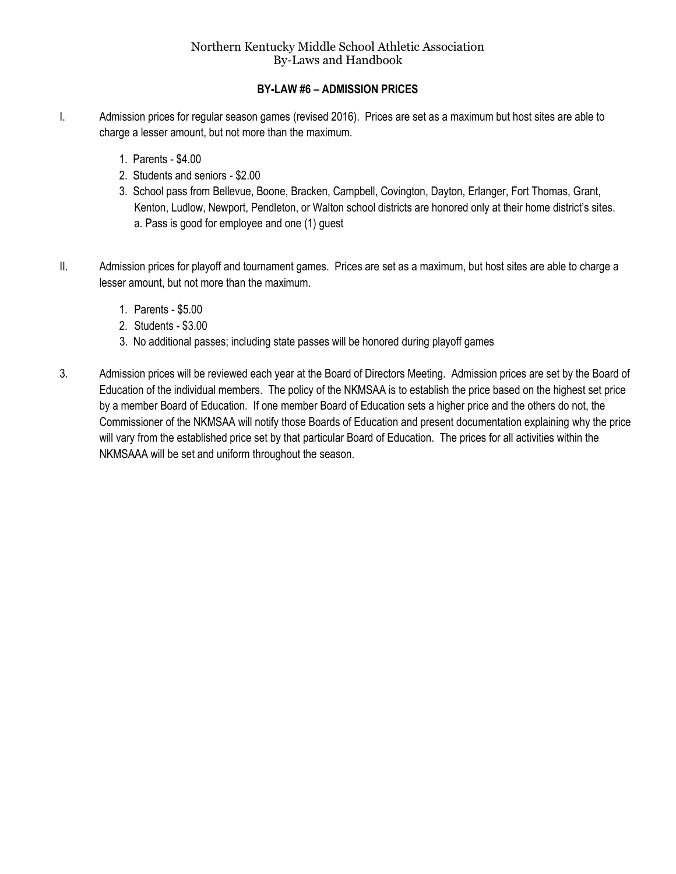# **BY-LAW #6 – ADMISSION PRICES**

- I. Admission prices for regular season games (revised 2016). Prices are set as a maximum but host sites are able to charge a lesser amount, but not more than the maximum.
	- 1. Parents \$4.00
	- 2. Students and seniors \$2.00
	- 3. School pass from Bellevue, Boone, Bracken, Campbell, Covington, Dayton, Erlanger, Fort Thomas, Grant, Kenton, Ludlow, Newport, Pendleton, or Walton school districts are honored only at their home district's sites. a. Pass is good for employee and one (1) guest
- II. Admission prices for playoff and tournament games. Prices are set as a maximum, but host sites are able to charge a lesser amount, but not more than the maximum.
	- 1. Parents \$5.00
	- 2. Students \$3.00
	- 3. No additional passes; including state passes will be honored during playoff games
- 3. Admission prices will be reviewed each year at the Board of Directors Meeting. Admission prices are set by the Board of Education of the individual members. The policy of the NKMSAA is to establish the price based on the highest set price by a member Board of Education. If one member Board of Education sets a higher price and the others do not, the Commissioner of the NKMSAA will notify those Boards of Education and present documentation explaining why the price will vary from the established price set by that particular Board of Education. The prices for all activities within the NKMSAAA will be set and uniform throughout the season.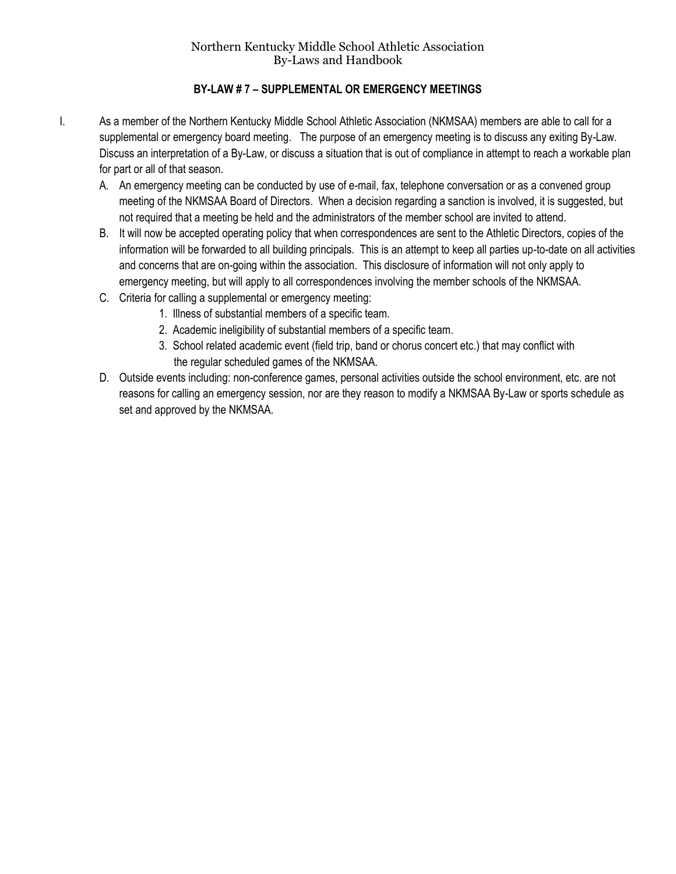# **BY-LAW # 7 – SUPPLEMENTAL OR EMERGENCY MEETINGS**

- I. As a member of the Northern Kentucky Middle School Athletic Association (NKMSAA) members are able to call for a supplemental or emergency board meeting. The purpose of an emergency meeting is to discuss any exiting By-Law. Discuss an interpretation of a By-Law, or discuss a situation that is out of compliance in attempt to reach a workable plan for part or all of that season.
	- A. An emergency meeting can be conducted by use of e-mail, fax, telephone conversation or as a convened group meeting of the NKMSAA Board of Directors. When a decision regarding a sanction is involved, it is suggested, but not required that a meeting be held and the administrators of the member school are invited to attend.
	- B. It will now be accepted operating policy that when correspondences are sent to the Athletic Directors, copies of the information will be forwarded to all building principals. This is an attempt to keep all parties up-to-date on all activities and concerns that are on-going within the association. This disclosure of information will not only apply to emergency meeting, but will apply to all correspondences involving the member schools of the NKMSAA.
	- C. Criteria for calling a supplemental or emergency meeting:
		- 1. Illness of substantial members of a specific team.
		- 2. Academic ineligibility of substantial members of a specific team.
		- 3. School related academic event (field trip, band or chorus concert etc.) that may conflict with the regular scheduled games of the NKMSAA.
	- D. Outside events including: non-conference games, personal activities outside the school environment, etc. are not reasons for calling an emergency session, nor are they reason to modify a NKMSAA By-Law or sports schedule as set and approved by the NKMSAA.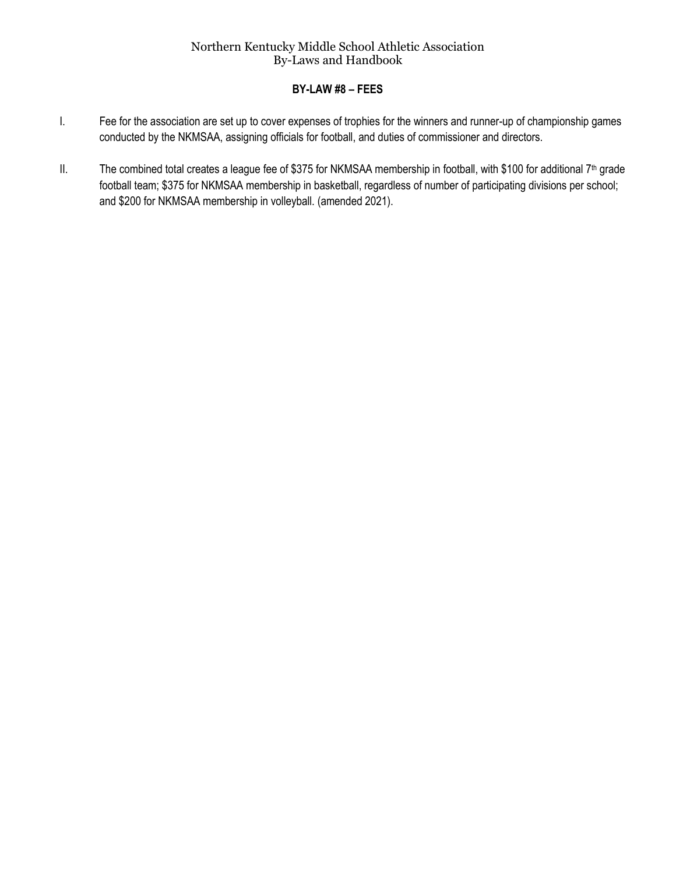#### **BY-LAW #8 – FEES**

- I. Fee for the association are set up to cover expenses of trophies for the winners and runner-up of championship games conducted by the NKMSAA, assigning officials for football, and duties of commissioner and directors.
- II. The combined total creates a league fee of \$375 for NKMSAA membership in football, with \$100 for additional  $7<sup>th</sup>$  grade football team; \$375 for NKMSAA membership in basketball, regardless of number of participating divisions per school; and \$200 for NKMSAA membership in volleyball. (amended 2021).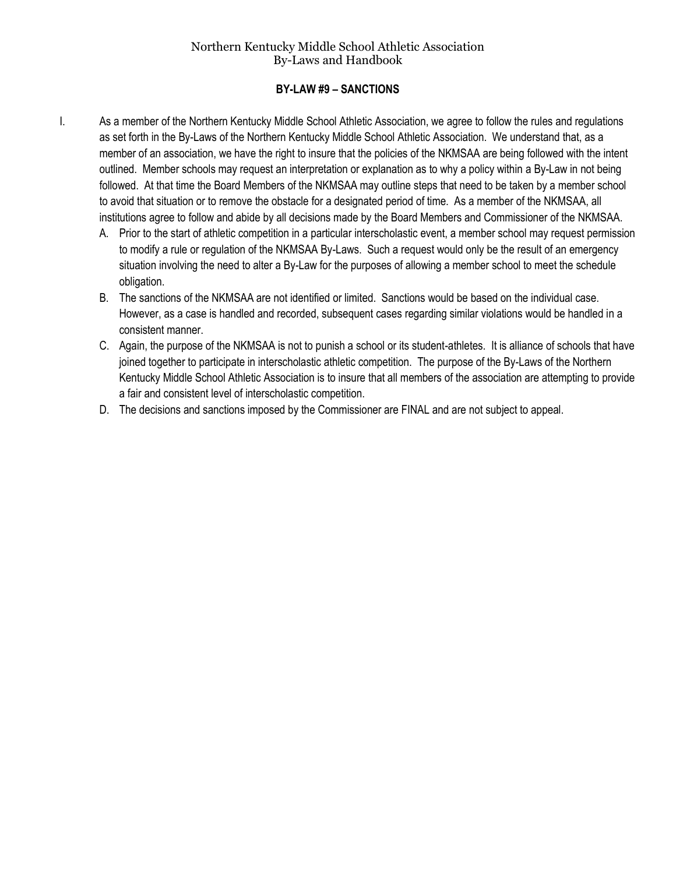#### **BY-LAW #9 – SANCTIONS**

- I. As a member of the Northern Kentucky Middle School Athletic Association, we agree to follow the rules and regulations as set forth in the By-Laws of the Northern Kentucky Middle School Athletic Association. We understand that, as a member of an association, we have the right to insure that the policies of the NKMSAA are being followed with the intent outlined. Member schools may request an interpretation or explanation as to why a policy within a By-Law in not being followed. At that time the Board Members of the NKMSAA may outline steps that need to be taken by a member school to avoid that situation or to remove the obstacle for a designated period of time. As a member of the NKMSAA, all institutions agree to follow and abide by all decisions made by the Board Members and Commissioner of the NKMSAA.
	- A. Prior to the start of athletic competition in a particular interscholastic event, a member school may request permission to modify a rule or regulation of the NKMSAA By-Laws. Such a request would only be the result of an emergency situation involving the need to alter a By-Law for the purposes of allowing a member school to meet the schedule obligation.
	- B. The sanctions of the NKMSAA are not identified or limited. Sanctions would be based on the individual case. However, as a case is handled and recorded, subsequent cases regarding similar violations would be handled in a consistent manner.
	- C. Again, the purpose of the NKMSAA is not to punish a school or its student-athletes. It is alliance of schools that have joined together to participate in interscholastic athletic competition. The purpose of the By-Laws of the Northern Kentucky Middle School Athletic Association is to insure that all members of the association are attempting to provide a fair and consistent level of interscholastic competition.
	- D. The decisions and sanctions imposed by the Commissioner are FINAL and are not subject to appeal.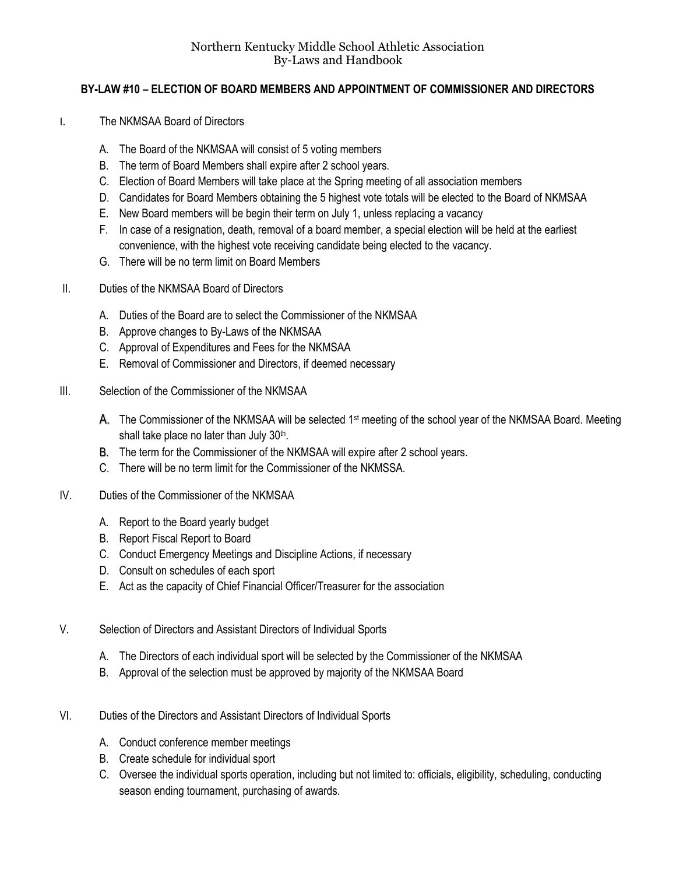# **BY-LAW #10 – ELECTION OF BOARD MEMBERS AND APPOINTMENT OF COMMISSIONER AND DIRECTORS**

- I. The NKMSAA Board of Directors
	- A. The Board of the NKMSAA will consist of 5 voting members
	- B. The term of Board Members shall expire after 2 school years.
	- C. Election of Board Members will take place at the Spring meeting of all association members
	- D. Candidates for Board Members obtaining the 5 highest vote totals will be elected to the Board of NKMSAA
	- E. New Board members will be begin their term on July 1, unless replacing a vacancy
	- F. In case of a resignation, death, removal of a board member, a special election will be held at the earliest convenience, with the highest vote receiving candidate being elected to the vacancy.
	- G. There will be no term limit on Board Members
- II. Duties of the NKMSAA Board of Directors
	- A. Duties of the Board are to select the Commissioner of the NKMSAA
	- B. Approve changes to By-Laws of the NKMSAA
	- C. Approval of Expenditures and Fees for the NKMSAA
	- E. Removal of Commissioner and Directors, if deemed necessary
- III. Selection of the Commissioner of the NKMSAA
	- A. The Commissioner of the NKMSAA will be selected 1<sup>st</sup> meeting of the school year of the NKMSAA Board. Meeting shall take place no later than July 30<sup>th</sup>.
	- B. The term for the Commissioner of the NKMSAA will expire after 2 school years.
	- C. There will be no term limit for the Commissioner of the NKMSSA.
- IV. Duties of the Commissioner of the NKMSAA
	- A. Report to the Board yearly budget
	- B. Report Fiscal Report to Board
	- C. Conduct Emergency Meetings and Discipline Actions, if necessary
	- D. Consult on schedules of each sport
	- E. Act as the capacity of Chief Financial Officer/Treasurer for the association
- V. Selection of Directors and Assistant Directors of Individual Sports
	- A. The Directors of each individual sport will be selected by the Commissioner of the NKMSAA
	- B. Approval of the selection must be approved by majority of the NKMSAA Board
- VI. Duties of the Directors and Assistant Directors of Individual Sports
	- A. Conduct conference member meetings
	- B. Create schedule for individual sport
	- C. Oversee the individual sports operation, including but not limited to: officials, eligibility, scheduling, conducting season ending tournament, purchasing of awards.